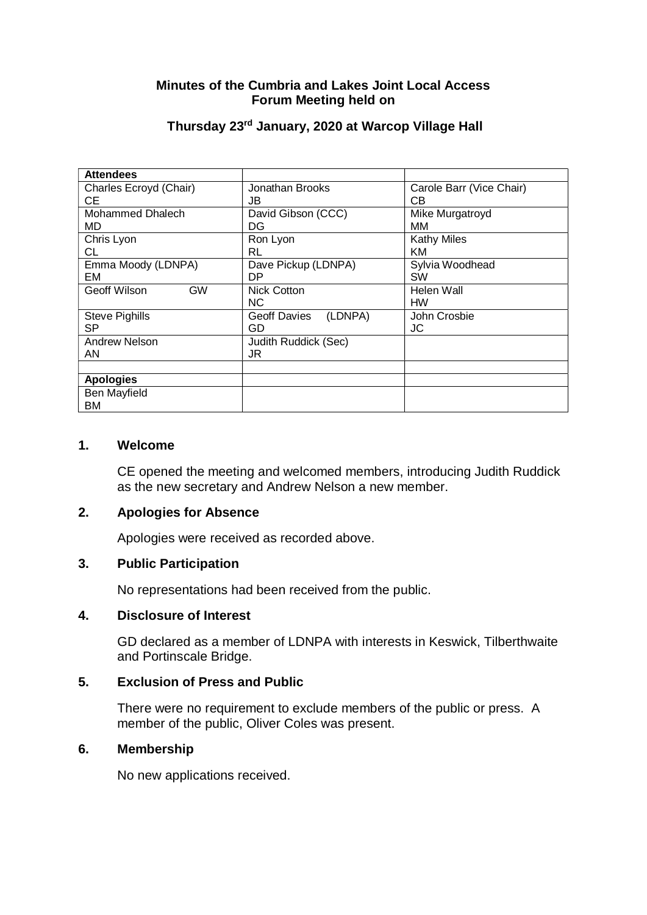## **Minutes of the Cumbria and Lakes Joint Local Access Forum Meeting held on**

| <b>Attendees</b>          |                                |                          |
|---------------------------|--------------------------------|--------------------------|
| Charles Ecroyd (Chair)    | Jonathan Brooks                | Carole Barr (Vice Chair) |
| CЕ                        | JB                             | CВ                       |
| Mohammed Dhalech          | David Gibson (CCC)             | Mike Murgatroyd          |
| MD                        | DG                             | MМ                       |
| Chris Lyon                | Ron Lyon                       | <b>Kathy Miles</b>       |
| CL                        | <b>RL</b>                      | KM                       |
| Emma Moody (LDNPA)        | Dave Pickup (LDNPA)            | Sylvia Woodhead          |
| EM                        | DP.                            | <b>SW</b>                |
| <b>GW</b><br>Geoff Wilson | <b>Nick Cotton</b>             | Helen Wall               |
|                           | <b>NC</b>                      | HW                       |
| <b>Steve Pighills</b>     | (LDNPA)<br><b>Geoff Davies</b> | John Crosbie             |
| <b>SP</b>                 | GD                             | JC                       |
| Andrew Nelson             | Judith Ruddick (Sec)           |                          |
| AN                        | JR                             |                          |
|                           |                                |                          |
| <b>Apologies</b>          |                                |                          |
| Ben Mayfield              |                                |                          |
| ВM                        |                                |                          |

## **Thursday 23rd January, 2020 at Warcop Village Hall**

#### **1. Welcome**

CE opened the meeting and welcomed members, introducing Judith Ruddick as the new secretary and Andrew Nelson a new member.

#### **2. Apologies for Absence**

Apologies were received as recorded above.

#### **3. Public Participation**

No representations had been received from the public.

#### **4. Disclosure of Interest**

GD declared as a member of LDNPA with interests in Keswick, Tilberthwaite and Portinscale Bridge.

### **5. Exclusion of Press and Public**

There were no requirement to exclude members of the public or press. A member of the public, Oliver Coles was present.

#### **6. Membership**

No new applications received.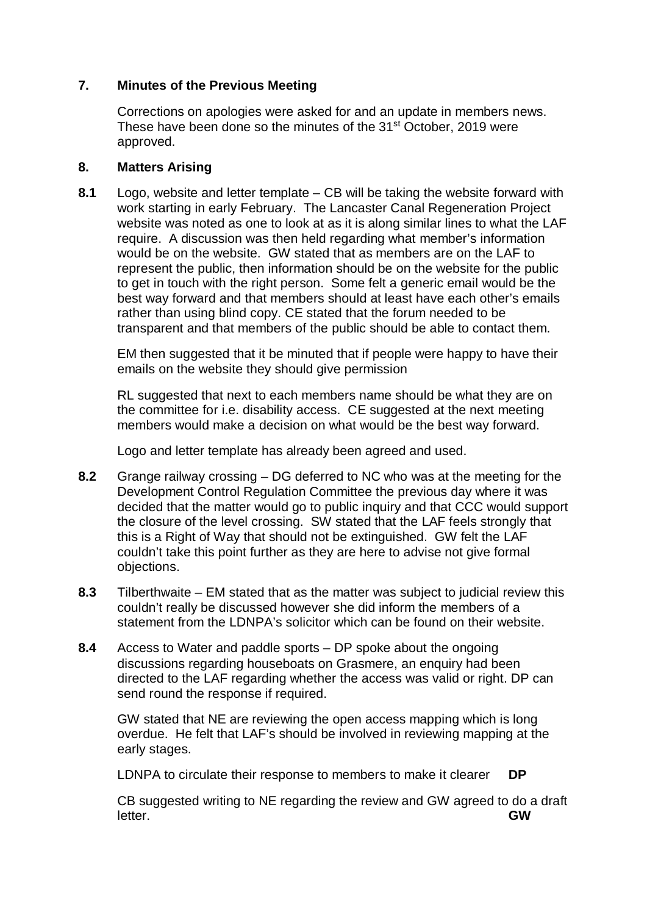## **7. Minutes of the Previous Meeting**

Corrections on apologies were asked for and an update in members news. These have been done so the minutes of the 31<sup>st</sup> October, 2019 were approved.

### **8. Matters Arising**

**8.1** Logo, website and letter template – CB will be taking the website forward with work starting in early February. The Lancaster Canal Regeneration Project website was noted as one to look at as it is along similar lines to what the LAF require. A discussion was then held regarding what member's information would be on the website. GW stated that as members are on the LAF to represent the public, then information should be on the website for the public to get in touch with the right person. Some felt a generic email would be the best way forward and that members should at least have each other's emails rather than using blind copy. CE stated that the forum needed to be transparent and that members of the public should be able to contact them.

EM then suggested that it be minuted that if people were happy to have their emails on the website they should give permission

RL suggested that next to each members name should be what they are on the committee for i.e. disability access. CE suggested at the next meeting members would make a decision on what would be the best way forward.

Logo and letter template has already been agreed and used.

- **8.2** Grange railway crossing DG deferred to NC who was at the meeting for the Development Control Regulation Committee the previous day where it was decided that the matter would go to public inquiry and that CCC would support the closure of the level crossing. SW stated that the LAF feels strongly that this is a Right of Way that should not be extinguished. GW felt the LAF couldn't take this point further as they are here to advise not give formal objections.
- **8.3** Tilberthwaite EM stated that as the matter was subject to judicial review this couldn't really be discussed however she did inform the members of a statement from the LDNPA's solicitor which can be found on their website.
- **8.4** Access to Water and paddle sports DP spoke about the ongoing discussions regarding houseboats on Grasmere, an enquiry had been directed to the LAF regarding whether the access was valid or right. DP can send round the response if required.

 GW stated that NE are reviewing the open access mapping which is long overdue. He felt that LAF's should be involved in reviewing mapping at the early stages.

LDNPA to circulate their response to members to make it clearer **DP**

CB suggested writing to NE regarding the review and GW agreed to do a draft letter. **GW**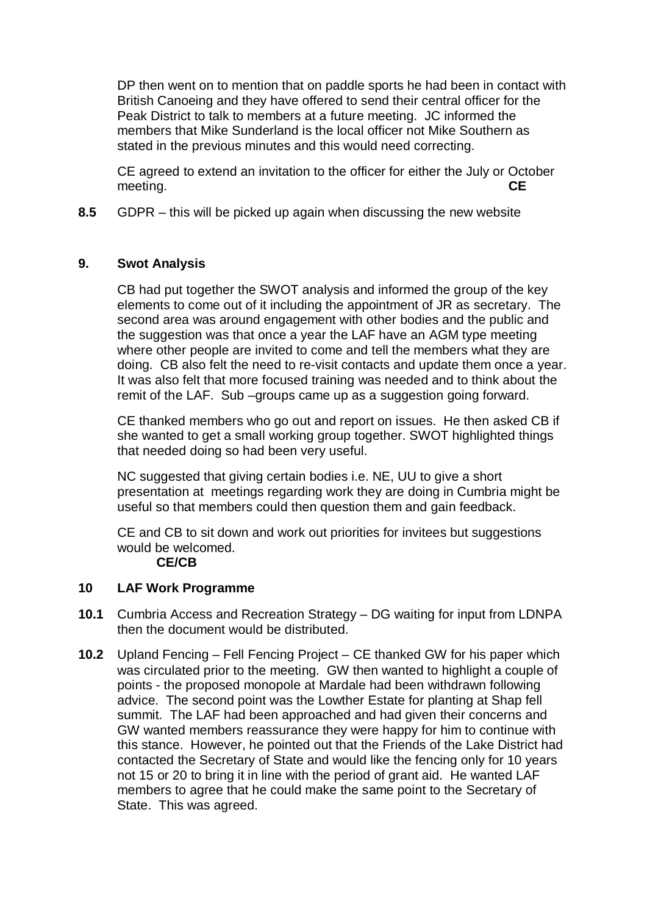DP then went on to mention that on paddle sports he had been in contact with British Canoeing and they have offered to send their central officer for the Peak District to talk to members at a future meeting. JC informed the members that Mike Sunderland is the local officer not Mike Southern as stated in the previous minutes and this would need correcting.

 CE agreed to extend an invitation to the officer for either the July or October meeting. **CE**

**8.5** GDPR – this will be picked up again when discussing the new website

## **9. Swot Analysis**

CB had put together the SWOT analysis and informed the group of the key elements to come out of it including the appointment of JR as secretary. The second area was around engagement with other bodies and the public and the suggestion was that once a year the LAF have an AGM type meeting where other people are invited to come and tell the members what they are doing. CB also felt the need to re-visit contacts and update them once a year. It was also felt that more focused training was needed and to think about the remit of the LAF. Sub –groups came up as a suggestion going forward.

 CE thanked members who go out and report on issues. He then asked CB if she wanted to get a small working group together. SWOT highlighted things that needed doing so had been very useful.

 NC suggested that giving certain bodies i.e. NE, UU to give a short presentation at meetings regarding work they are doing in Cumbria might be useful so that members could then question them and gain feedback.

CE and CB to sit down and work out priorities for invitees but suggestions would be welcomed.

### **CE/CB**

### **10 LAF Work Programme**

- **10.1** Cumbria Access and Recreation Strategy DG waiting for input from LDNPA then the document would be distributed.
- **10.2** Upland Fencing Fell Fencing Project CE thanked GW for his paper which was circulated prior to the meeting. GW then wanted to highlight a couple of points - the proposed monopole at Mardale had been withdrawn following advice. The second point was the Lowther Estate for planting at Shap fell summit. The LAF had been approached and had given their concerns and GW wanted members reassurance they were happy for him to continue with this stance. However, he pointed out that the Friends of the Lake District had contacted the Secretary of State and would like the fencing only for 10 years not 15 or 20 to bring it in line with the period of grant aid. He wanted LAF members to agree that he could make the same point to the Secretary of State. This was agreed.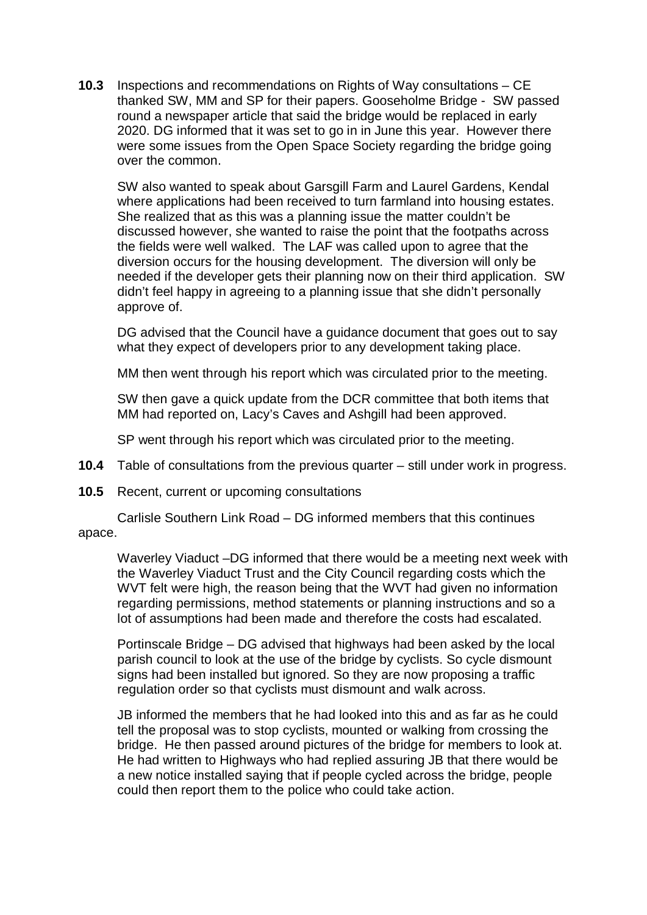**10.3** Inspections and recommendations on Rights of Way consultations – CE thanked SW, MM and SP for their papers. Gooseholme Bridge - SW passed round a newspaper article that said the bridge would be replaced in early 2020. DG informed that it was set to go in in June this year. However there were some issues from the Open Space Society regarding the bridge going over the common.

SW also wanted to speak about Garsgill Farm and Laurel Gardens, Kendal where applications had been received to turn farmland into housing estates. She realized that as this was a planning issue the matter couldn't be discussed however, she wanted to raise the point that the footpaths across the fields were well walked. The LAF was called upon to agree that the diversion occurs for the housing development. The diversion will only be needed if the developer gets their planning now on their third application. SW didn't feel happy in agreeing to a planning issue that she didn't personally approve of.

DG advised that the Council have a guidance document that goes out to say what they expect of developers prior to any development taking place.

MM then went through his report which was circulated prior to the meeting.

SW then gave a quick update from the DCR committee that both items that MM had reported on, Lacy's Caves and Ashgill had been approved.

SP went through his report which was circulated prior to the meeting.

- **10.4** Table of consultations from the previous quarter still under work in progress.
- **10.5** Recent, current or upcoming consultations

Carlisle Southern Link Road – DG informed members that this continues apace.

Waverley Viaduct –DG informed that there would be a meeting next week with the Waverley Viaduct Trust and the City Council regarding costs which the WVT felt were high, the reason being that the WVT had given no information regarding permissions, method statements or planning instructions and so a lot of assumptions had been made and therefore the costs had escalated.

Portinscale Bridge – DG advised that highways had been asked by the local parish council to look at the use of the bridge by cyclists. So cycle dismount signs had been installed but ignored. So they are now proposing a traffic regulation order so that cyclists must dismount and walk across.

JB informed the members that he had looked into this and as far as he could tell the proposal was to stop cyclists, mounted or walking from crossing the bridge. He then passed around pictures of the bridge for members to look at. He had written to Highways who had replied assuring JB that there would be a new notice installed saying that if people cycled across the bridge, people could then report them to the police who could take action.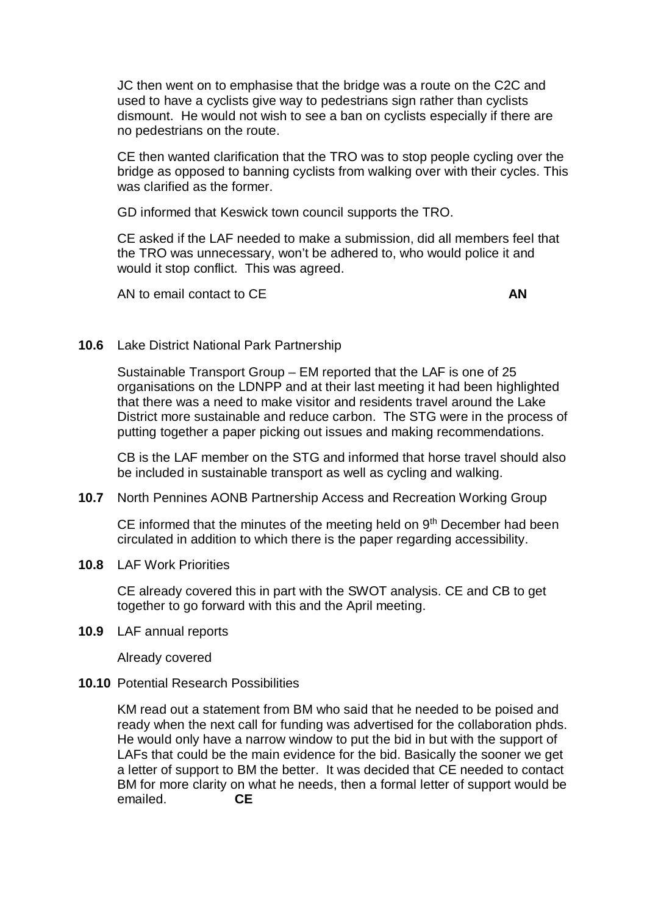JC then went on to emphasise that the bridge was a route on the C2C and used to have a cyclists give way to pedestrians sign rather than cyclists dismount. He would not wish to see a ban on cyclists especially if there are no pedestrians on the route.

CE then wanted clarification that the TRO was to stop people cycling over the bridge as opposed to banning cyclists from walking over with their cycles. This was clarified as the former.

GD informed that Keswick town council supports the TRO.

CE asked if the LAF needed to make a submission, did all members feel that the TRO was unnecessary, won't be adhered to, who would police it and would it stop conflict. This was agreed.

AN to email contact to CE **AN**

#### **10.6** Lake District National Park Partnership

Sustainable Transport Group – EM reported that the LAF is one of 25 organisations on the LDNPP and at their last meeting it had been highlighted that there was a need to make visitor and residents travel around the Lake District more sustainable and reduce carbon. The STG were in the process of putting together a paper picking out issues and making recommendations.

CB is the LAF member on the STG and informed that horse travel should also be included in sustainable transport as well as cycling and walking.

**10.7** North Pennines AONB Partnership Access and Recreation Working Group

CE informed that the minutes of the meeting held on 9<sup>th</sup> December had been circulated in addition to which there is the paper regarding accessibility.

**10.8** LAF Work Priorities

CE already covered this in part with the SWOT analysis. CE and CB to get together to go forward with this and the April meeting.

**10.9** LAF annual reports

Already covered

**10.10** Potential Research Possibilities

KM read out a statement from BM who said that he needed to be poised and ready when the next call for funding was advertised for the collaboration phds. He would only have a narrow window to put the bid in but with the support of LAFs that could be the main evidence for the bid. Basically the sooner we get a letter of support to BM the better. It was decided that CE needed to contact BM for more clarity on what he needs, then a formal letter of support would be emailed. **CE**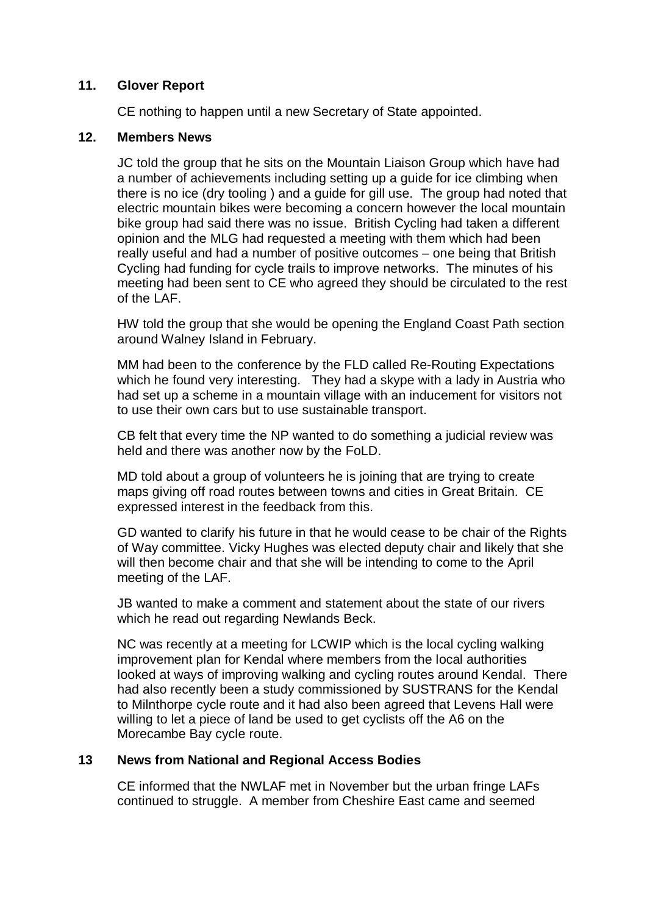### **11. Glover Report**

CE nothing to happen until a new Secretary of State appointed.

### **12. Members News**

JC told the group that he sits on the Mountain Liaison Group which have had a number of achievements including setting up a guide for ice climbing when there is no ice (dry tooling ) and a guide for gill use. The group had noted that electric mountain bikes were becoming a concern however the local mountain bike group had said there was no issue. British Cycling had taken a different opinion and the MLG had requested a meeting with them which had been really useful and had a number of positive outcomes – one being that British Cycling had funding for cycle trails to improve networks. The minutes of his meeting had been sent to CE who agreed they should be circulated to the rest of the LAF.

HW told the group that she would be opening the England Coast Path section around Walney Island in February.

MM had been to the conference by the FLD called Re-Routing Expectations which he found very interesting. They had a skype with a lady in Austria who had set up a scheme in a mountain village with an inducement for visitors not to use their own cars but to use sustainable transport.

CB felt that every time the NP wanted to do something a judicial review was held and there was another now by the FoLD.

MD told about a group of volunteers he is joining that are trying to create maps giving off road routes between towns and cities in Great Britain. CE expressed interest in the feedback from this.

GD wanted to clarify his future in that he would cease to be chair of the Rights of Way committee. Vicky Hughes was elected deputy chair and likely that she will then become chair and that she will be intending to come to the April meeting of the LAF.

JB wanted to make a comment and statement about the state of our rivers which he read out regarding Newlands Beck.

NC was recently at a meeting for LCWIP which is the local cycling walking improvement plan for Kendal where members from the local authorities looked at ways of improving walking and cycling routes around Kendal. There had also recently been a study commissioned by SUSTRANS for the Kendal to Milnthorpe cycle route and it had also been agreed that Levens Hall were willing to let a piece of land be used to get cyclists off the A6 on the Morecambe Bay cycle route.

### **13 News from National and Regional Access Bodies**

CE informed that the NWLAF met in November but the urban fringe LAFs continued to struggle. A member from Cheshire East came and seemed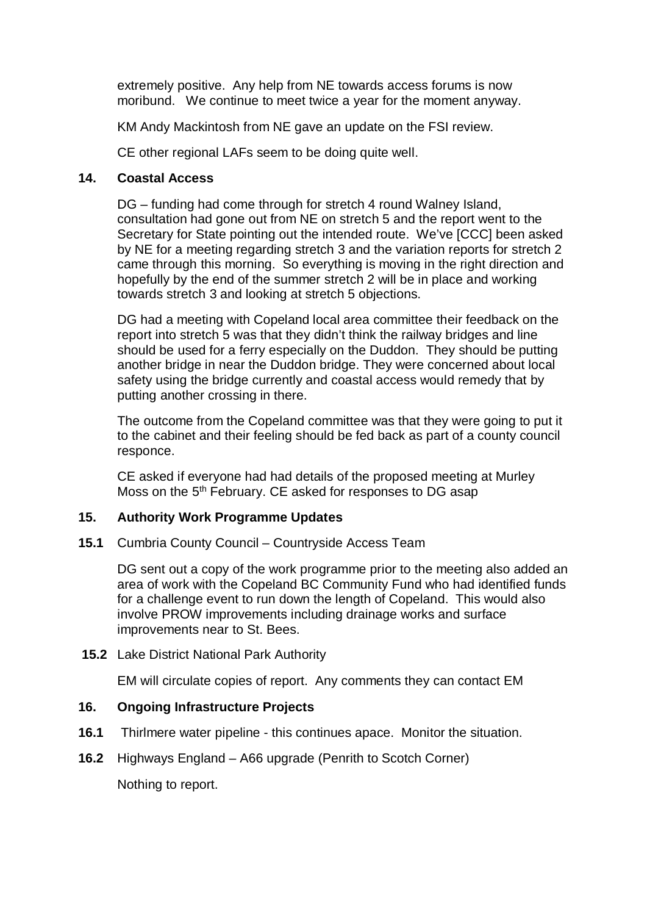extremely positive. Any help from NE towards access forums is now moribund. We continue to meet twice a year for the moment anyway.

KM Andy Mackintosh from NE gave an update on the FSI review.

CE other regional LAFs seem to be doing quite well.

#### **14. Coastal Access**

 DG – funding had come through for stretch 4 round Walney Island, consultation had gone out from NE on stretch 5 and the report went to the Secretary for State pointing out the intended route. We've [CCC] been asked by NE for a meeting regarding stretch 3 and the variation reports for stretch 2 came through this morning. So everything is moving in the right direction and hopefully by the end of the summer stretch 2 will be in place and working towards stretch 3 and looking at stretch 5 objections.

 DG had a meeting with Copeland local area committee their feedback on the report into stretch 5 was that they didn't think the railway bridges and line should be used for a ferry especially on the Duddon. They should be putting another bridge in near the Duddon bridge. They were concerned about local safety using the bridge currently and coastal access would remedy that by putting another crossing in there.

 The outcome from the Copeland committee was that they were going to put it to the cabinet and their feeling should be fed back as part of a county council responce.

 CE asked if everyone had had details of the proposed meeting at Murley Moss on the 5th February. CE asked for responses to DG asap

### **15. Authority Work Programme Updates**

**15.1** Cumbria County Council – Countryside Access Team

 DG sent out a copy of the work programme prior to the meeting also added an area of work with the Copeland BC Community Fund who had identified funds for a challenge event to run down the length of Copeland. This would also involve PROW improvements including drainage works and surface improvements near to St. Bees.

 **15.2** Lake District National Park Authority

EM will circulate copies of report. Any comments they can contact EM

### **16. Ongoing Infrastructure Projects**

- **16.1** Thirlmere water pipeline this continues apace. Monitor the situation.
- **16.2** Highways England A66 upgrade (Penrith to Scotch Corner)

Nothing to report.